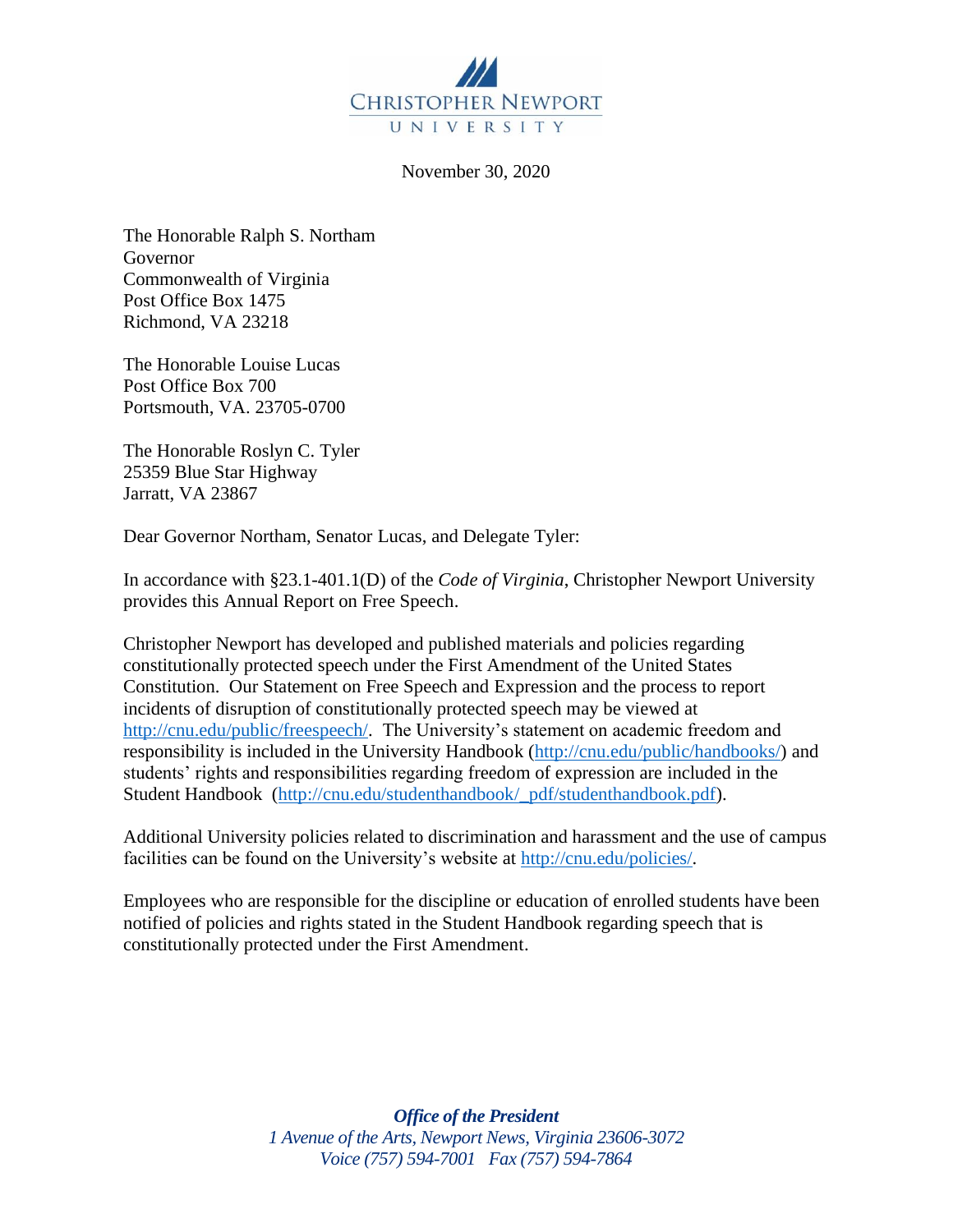

November 30, 2020

The Honorable Ralph S. Northam Governor Commonwealth of Virginia Post Office Box 1475 Richmond, VA 23218

The Honorable Louise Lucas Post Office Box 700 Portsmouth, VA. 23705-0700

The Honorable Roslyn C. Tyler 25359 Blue Star Highway Jarratt, VA 23867

Dear Governor Northam, Senator Lucas, and Delegate Tyler:

In accordance with §23.1-401.1(D) of the *Code of Virginia*, Christopher Newport University provides this Annual Report on Free Speech.

Christopher Newport has developed and published materials and policies regarding constitutionally protected speech under the First Amendment of the United States Constitution. Our Statement on Free Speech and Expression and the process to report incidents of disruption of constitutionally protected speech may be viewed at http://cnu.edu/public/freespeech/. The University's statement on academic freedom and responsibility is included in the University Handbook (http://cnu.edu/public/handbooks/) and students' rights and responsibilities regarding freedom of expression are included in the Student Handbook (http://cnu.edu/studenthandbook/\_pdf/studenthandbook.pdf).

Additional University policies related to discrimination and harassment and the use of campus facilities can be found on the University's website at http://cnu.edu/policies/.

Employees who are responsible for the discipline or education of enrolled students have been notified of policies and rights stated in the Student Handbook regarding speech that is constitutionally protected under the First Amendment.

> *Office of the President 1 Avenue of the Arts, Newport News, Virginia 23606-3072 Voice (757) 594-7001 Fax (757) 594-7864*